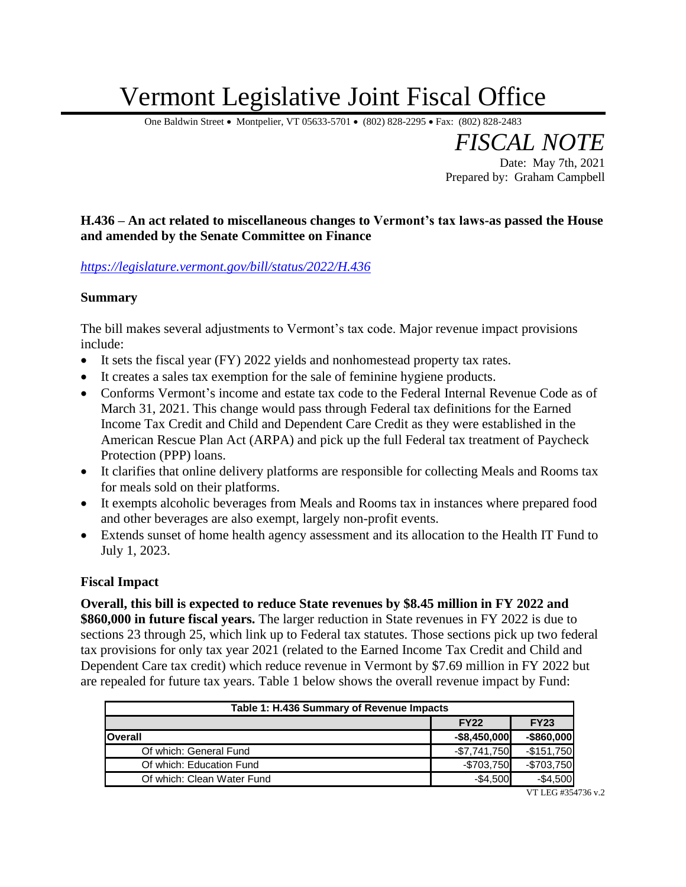# Vermont Legislative Joint Fiscal Office

One Baldwin Street • Montpelier, VT 05633-5701 • (802) 828-2295 • Fax: (802) 828-2483

*FISCAL NOTE* Date: May 7th, 2021 Prepared by: Graham Campbell

#### **H.436 – An act related to miscellaneous changes to Vermont's tax laws-as passed the House and amended by the Senate Committee on Finance**

*<https://legislature.vermont.gov/bill/status/2022/H.436>*

#### **Summary**

The bill makes several adjustments to Vermont's tax code. Major revenue impact provisions include:

- It sets the fiscal year (FY) 2022 yields and nonhomestead property tax rates.
- It creates a sales tax exemption for the sale of feminine hygiene products.
- Conforms Vermont's income and estate tax code to the Federal Internal Revenue Code as of March 31, 2021. This change would pass through Federal tax definitions for the Earned Income Tax Credit and Child and Dependent Care Credit as they were established in the American Rescue Plan Act (ARPA) and pick up the full Federal tax treatment of Paycheck Protection (PPP) loans.
- It clarifies that online delivery platforms are responsible for collecting Meals and Rooms tax for meals sold on their platforms.
- It exempts alcoholic beverages from Meals and Rooms tax in instances where prepared food and other beverages are also exempt, largely non-profit events.
- Extends sunset of home health agency assessment and its allocation to the Health IT Fund to July 1, 2023.

#### **Fiscal Impact**

**Overall, this bill is expected to reduce State revenues by \$8.45 million in FY 2022 and \$860,000 in future fiscal years.** The larger reduction in State revenues in FY 2022 is due to sections 23 through 25, which link up to Federal tax statutes. Those sections pick up two federal tax provisions for only tax year 2021 (related to the Earned Income Tax Credit and Child and Dependent Care tax credit) which reduce revenue in Vermont by \$7.69 million in FY 2022 but are repealed for future tax years. Table 1 below shows the overall revenue impact by Fund:

| Table 1: H.436 Summary of Revenue Impacts |                 |               |  |  |  |  |
|-------------------------------------------|-----------------|---------------|--|--|--|--|
|                                           | <b>FY22</b>     | <b>FY23</b>   |  |  |  |  |
| <b>Overall</b>                            | $-$8,450,000$   | $-$ \$860,000 |  |  |  |  |
| Of which: General Fund                    | $-$ \$7,741,750 | $-$151,750$   |  |  |  |  |
| Of which: Education Fund                  | $-$703,750$     | $-$703,750$   |  |  |  |  |
| Of which: Clean Water Fund                | $-$4,500$       | $-$4,500$     |  |  |  |  |

VT LEG #354736 v.2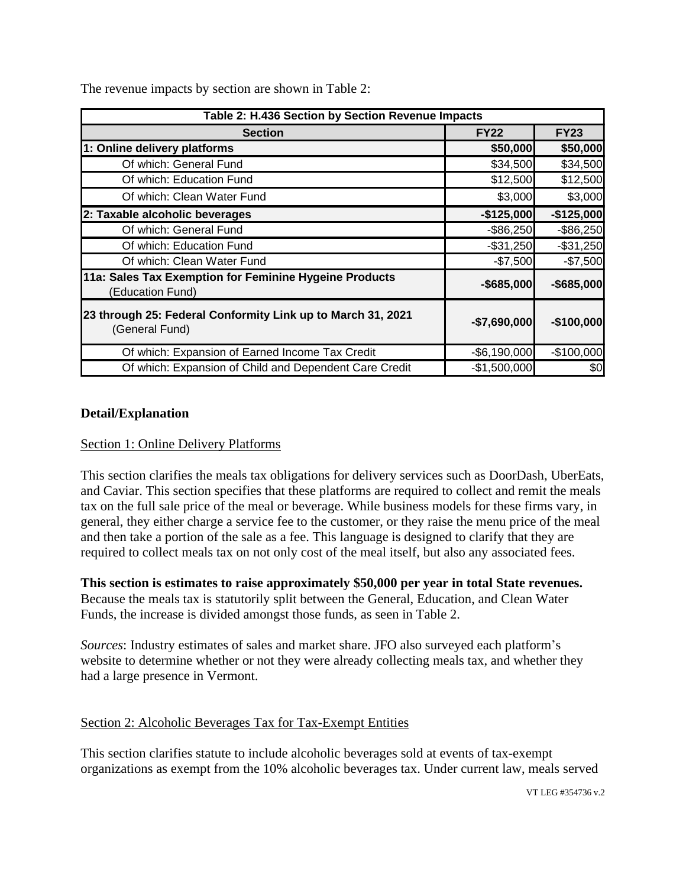The revenue impacts by section are shown in Table 2:

| Table 2: H.436 Section by Section Revenue Impacts                                              |               |                         |  |  |  |  |  |
|------------------------------------------------------------------------------------------------|---------------|-------------------------|--|--|--|--|--|
| <b>Section</b>                                                                                 | <b>FY22</b>   | <b>FY23</b>             |  |  |  |  |  |
| 1: Online delivery platforms                                                                   | \$50,000      | \$50,000                |  |  |  |  |  |
| Of which: General Fund                                                                         | \$34,500      | \$34,500                |  |  |  |  |  |
| Of which: Education Fund                                                                       | \$12,500      | \$12,500                |  |  |  |  |  |
| Of which: Clean Water Fund                                                                     | \$3,000       | \$3,000                 |  |  |  |  |  |
| 2: Taxable alcoholic beverages                                                                 | $-$125,000$   | $-$125,000$             |  |  |  |  |  |
| Of which: General Fund                                                                         | $-$ \$86,250  | $-$ \$86,250            |  |  |  |  |  |
| Of which: Education Fund                                                                       | $-$31,250$    | $-$31,250$<br>$-$7,500$ |  |  |  |  |  |
| Of which: Clean Water Fund                                                                     | $-$7,500$     |                         |  |  |  |  |  |
| 11a: Sales Tax Exemption for Feminine Hygeine Products<br>(Education Fund)                     | $-$ \$685,000 | $-$ \$685,000           |  |  |  |  |  |
| 23 through 25: Federal Conformity Link up to March 31, 2021<br>$-$7,690,000$<br>(General Fund) |               | $-$100,000$             |  |  |  |  |  |
| Of which: Expansion of Earned Income Tax Credit                                                | $-$6,190,000$ | $-$100,000$             |  |  |  |  |  |
| Of which: Expansion of Child and Dependent Care Credit                                         | $-$1,500,000$ | \$0                     |  |  |  |  |  |

#### **Detail/Explanation**

#### Section 1: Online Delivery Platforms

This section clarifies the meals tax obligations for delivery services such as DoorDash, UberEats, and Caviar. This section specifies that these platforms are required to collect and remit the meals tax on the full sale price of the meal or beverage. While business models for these firms vary, in general, they either charge a service fee to the customer, or they raise the menu price of the meal and then take a portion of the sale as a fee. This language is designed to clarify that they are required to collect meals tax on not only cost of the meal itself, but also any associated fees.

**This section is estimates to raise approximately \$50,000 per year in total State revenues.**  Because the meals tax is statutorily split between the General, Education, and Clean Water Funds, the increase is divided amongst those funds, as seen in Table 2.

*Sources*: Industry estimates of sales and market share. JFO also surveyed each platform's website to determine whether or not they were already collecting meals tax, and whether they had a large presence in Vermont.

#### Section 2: Alcoholic Beverages Tax for Tax-Exempt Entities

This section clarifies statute to include alcoholic beverages sold at events of tax-exempt organizations as exempt from the 10% alcoholic beverages tax. Under current law, meals served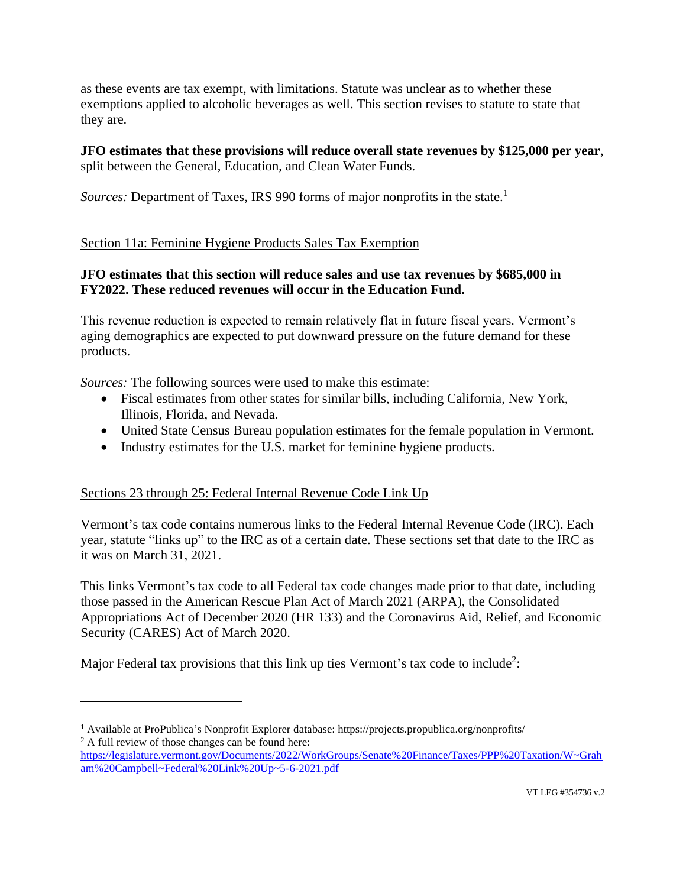as these events are tax exempt, with limitations. Statute was unclear as to whether these exemptions applied to alcoholic beverages as well. This section revises to statute to state that they are.

#### **JFO estimates that these provisions will reduce overall state revenues by \$125,000 per year**, split between the General, Education, and Clean Water Funds.

Sources: Department of Taxes, IRS 990 forms of major nonprofits in the state.<sup>1</sup>

## Section 11a: Feminine Hygiene Products Sales Tax Exemption

### **JFO estimates that this section will reduce sales and use tax revenues by \$685,000 in FY2022. These reduced revenues will occur in the Education Fund.**

This revenue reduction is expected to remain relatively flat in future fiscal years. Vermont's aging demographics are expected to put downward pressure on the future demand for these products.

*Sources:* The following sources were used to make this estimate:

- Fiscal estimates from other states for similar bills, including California, New York, Illinois, Florida, and Nevada.
- United State Census Bureau population estimates for the female population in Vermont.
- Industry estimates for the U.S. market for feminine hygiene products.

#### Sections 23 through 25: Federal Internal Revenue Code Link Up

Vermont's tax code contains numerous links to the Federal Internal Revenue Code (IRC). Each year, statute "links up" to the IRC as of a certain date. These sections set that date to the IRC as it was on March 31, 2021.

This links Vermont's tax code to all Federal tax code changes made prior to that date, including those passed in the American Rescue Plan Act of March 2021 (ARPA), the Consolidated Appropriations Act of December 2020 (HR 133) and the Coronavirus Aid, Relief, and Economic Security (CARES) Act of March 2020.

Major Federal tax provisions that this link up ties Vermont's tax code to include<sup>2</sup>:

<sup>1</sup> Available at ProPublica's Nonprofit Explorer database: https://projects.propublica.org/nonprofits/  $2 A$  full review of those changes can be found here:

[https://legislature.vermont.gov/Documents/2022/WorkGroups/Senate%20Finance/Taxes/PPP%20Taxation/W~Grah](https://legislature.vermont.gov/Documents/2022/WorkGroups/Senate%20Finance/Taxes/PPP%20Taxation/W~Graham%20Campbell~Federal%20Link%20Up~5-6-2021.pdf) [am%20Campbell~Federal%20Link%20Up~5-6-2021.pdf](https://legislature.vermont.gov/Documents/2022/WorkGroups/Senate%20Finance/Taxes/PPP%20Taxation/W~Graham%20Campbell~Federal%20Link%20Up~5-6-2021.pdf)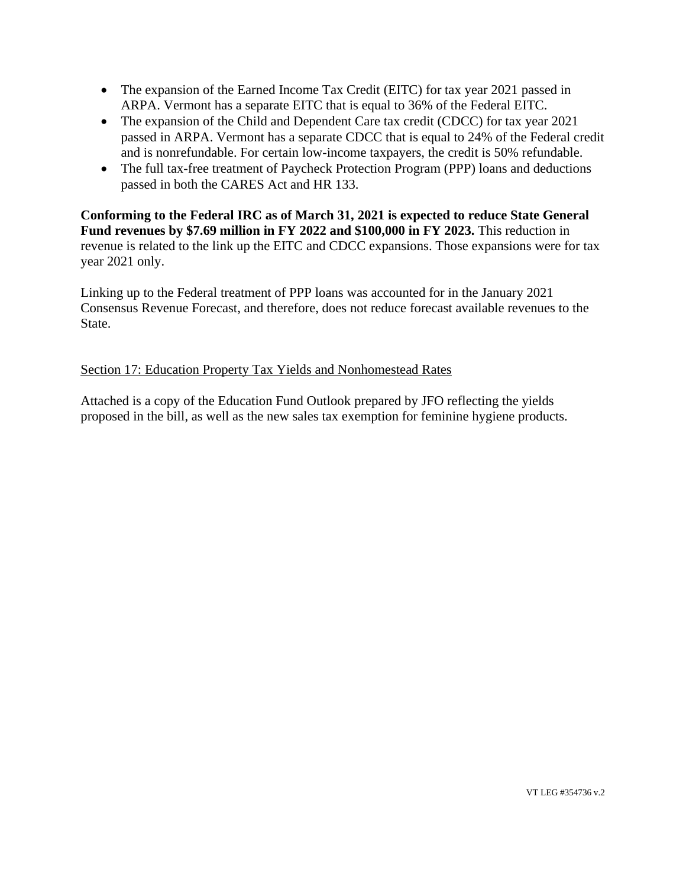- The expansion of the Earned Income Tax Credit (EITC) for tax year 2021 passed in ARPA. Vermont has a separate EITC that is equal to 36% of the Federal EITC.
- The expansion of the Child and Dependent Care tax credit (CDCC) for tax year 2021 passed in ARPA. Vermont has a separate CDCC that is equal to 24% of the Federal credit and is nonrefundable. For certain low-income taxpayers, the credit is 50% refundable.
- The full tax-free treatment of Paycheck Protection Program (PPP) loans and deductions passed in both the CARES Act and HR 133.

**Conforming to the Federal IRC as of March 31, 2021 is expected to reduce State General Fund revenues by \$7.69 million in FY 2022 and \$100,000 in FY 2023.** This reduction in revenue is related to the link up the EITC and CDCC expansions. Those expansions were for tax year 2021 only.

Linking up to the Federal treatment of PPP loans was accounted for in the January 2021 Consensus Revenue Forecast, and therefore, does not reduce forecast available revenues to the State.

## Section 17: Education Property Tax Yields and Nonhomestead Rates

Attached is a copy of the Education Fund Outlook prepared by JFO reflecting the yields proposed in the bill, as well as the new sales tax exemption for feminine hygiene products.